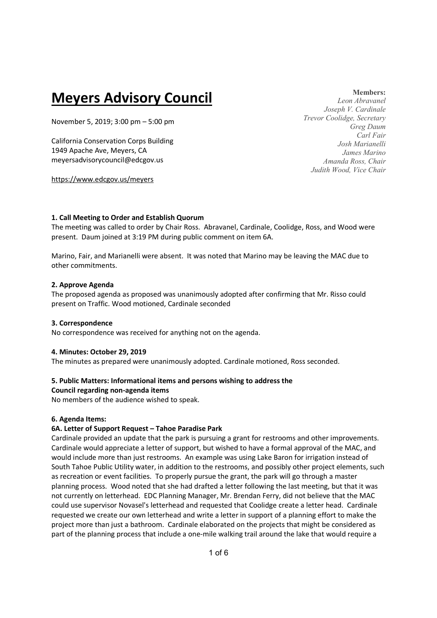# **Meyers Advisory Council**

November 5, 2019; 3:00 pm – 5:00 pm

California Conservation Corps Building 1949 Apache Ave, Meyers, CA meyersadvisorycouncil@edcgov.us

https://www.edcgov.us/meyers

## **Members:**

*Leon Abravanel Joseph V. Cardinale Trevor Coolidge, Secretary Greg Daum Carl Fair Josh Marianelli James Marino Amanda Ross, Chair Judith Wood, Vice Chair* 

#### **1. Call Meeting to Order and Establish Quorum**

The meeting was called to order by Chair Ross. Abravanel, Cardinale, Coolidge, Ross, and Wood were present. Daum joined at 3:19 PM during public comment on item 6A.

Marino, Fair, and Marianelli were absent. It was noted that Marino may be leaving the MAC due to other commitments.

#### **2. Approve Agenda**

The proposed agenda as proposed was unanimously adopted after confirming that Mr. Risso could present on Traffic. Wood motioned, Cardinale seconded

## **3. Correspondence**

No correspondence was received for anything not on the agenda.

## **4. Minutes: October 29, 2019**

The minutes as prepared were unanimously adopted. Cardinale motioned, Ross seconded.

## **5. Public Matters: Informational items and persons wishing to address the**

#### **Council regarding non-agenda items**

No members of the audience wished to speak.

#### **6. Agenda Items:**

## **6A. Letter of Support Request – Tahoe Paradise Park**

Cardinale provided an update that the park is pursuing a grant for restrooms and other improvements. Cardinale would appreciate a letter of support, but wished to have a formal approval of the MAC, and would include more than just restrooms. An example was using Lake Baron for irrigation instead of South Tahoe Public Utility water, in addition to the restrooms, and possibly other project elements, such as recreation or event facilities. To properly pursue the grant, the park will go through a master planning process. Wood noted that she had drafted a letter following the last meeting, but that it was not currently on letterhead. EDC Planning Manager, Mr. Brendan Ferry, did not believe that the MAC could use supervisor Novasel's letterhead and requested that Coolidge create a letter head. Cardinale requested we create our own letterhead and write a letter in support of a planning effort to make the project more than just a bathroom. Cardinale elaborated on the projects that might be considered as part of the planning process that include a one-mile walking trail around the lake that would require a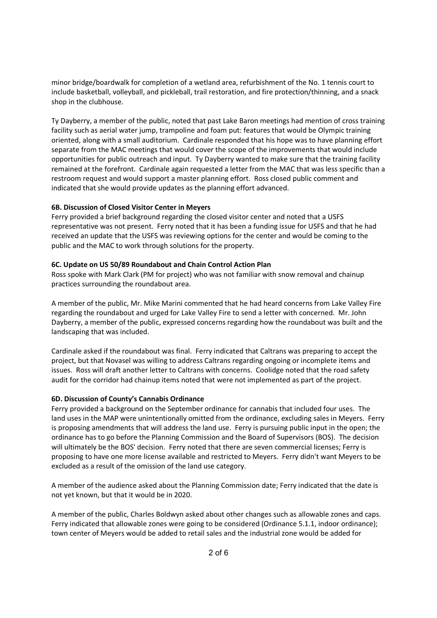minor bridge/boardwalk for completion of a wetland area, refurbishment of the No. 1 tennis court to include basketball, volleyball, and pickleball, trail restoration, and fire protection/thinning, and a snack shop in the clubhouse.

Ty Dayberry, a member of the public, noted that past Lake Baron meetings had mention of cross training facility such as aerial water jump, trampoline and foam put: features that would be Olympic training oriented, along with a small auditorium. Cardinale responded that his hope was to have planning effort separate from the MAC meetings that would cover the scope of the improvements that would include opportunities for public outreach and input. Ty Dayberry wanted to make sure that the training facility remained at the forefront. Cardinale again requested a letter from the MAC that was less specific than a restroom request and would support a master planning effort. Ross closed public comment and indicated that she would provide updates as the planning effort advanced.

#### **6B. Discussion of Closed Visitor Center in Meyers**

Ferry provided a brief background regarding the closed visitor center and noted that a USFS representative was not present. Ferry noted that it has been a funding issue for USFS and that he had received an update that the USFS was reviewing options for the center and would be coming to the public and the MAC to work through solutions for the property.

#### **6C. Update on US 50/89 Roundabout and Chain Control Action Plan**

Ross spoke with Mark Clark (PM for project) who was not familiar with snow removal and chainup practices surrounding the roundabout area.

A member of the public, Mr. Mike Marini commented that he had heard concerns from Lake Valley Fire regarding the roundabout and urged for Lake Valley Fire to send a letter with concerned. Mr. John Dayberry, a member of the public, expressed concerns regarding how the roundabout was built and the landscaping that was included.

Cardinale asked if the roundabout was final. Ferry indicated that Caltrans was preparing to accept the project, but that Novasel was willing to address Caltrans regarding ongoing or incomplete items and issues. Ross will draft another letter to Caltrans with concerns. Coolidge noted that the road safety audit for the corridor had chainup items noted that were not implemented as part of the project.

## **6D. Discussion of County's Cannabis Ordinance**

Ferry provided a background on the September ordinance for cannabis that included four uses. The land uses in the MAP were unintentionally omitted from the ordinance, excluding sales in Meyers. Ferry is proposing amendments that will address the land use. Ferry is pursuing public input in the open; the ordinance has to go before the Planning Commission and the Board of Supervisors (BOS). The decision will ultimately be the BOS' decision. Ferry noted that there are seven commercial licenses; Ferry is proposing to have one more license available and restricted to Meyers. Ferry didn't want Meyers to be excluded as a result of the omission of the land use category.

A member of the audience asked about the Planning Commission date; Ferry indicated that the date is not yet known, but that it would be in 2020.

A member of the public, Charles Boldwyn asked about other changes such as allowable zones and caps. Ferry indicated that allowable zones were going to be considered (Ordinance 5.1.1, indoor ordinance); town center of Meyers would be added to retail sales and the industrial zone would be added for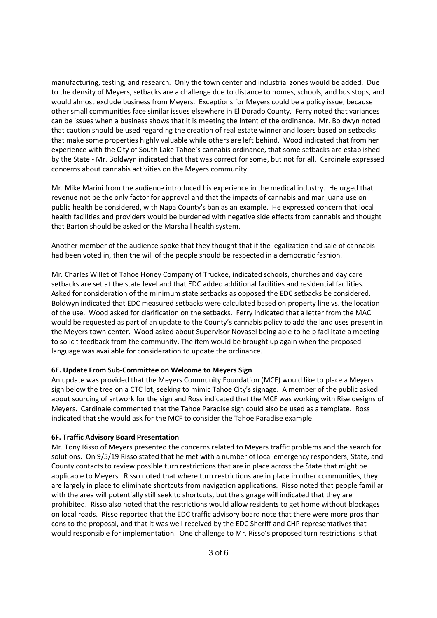manufacturing, testing, and research. Only the town center and industrial zones would be added. Due to the density of Meyers, setbacks are a challenge due to distance to homes, schools, and bus stops, and would almost exclude business from Meyers. Exceptions for Meyers could be a policy issue, because other small communities face similar issues elsewhere in El Dorado County. Ferry noted that variances can be issues when a business shows that it is meeting the intent of the ordinance. Mr. Boldwyn noted that caution should be used regarding the creation of real estate winner and losers based on setbacks that make some properties highly valuable while others are left behind. Wood indicated that from her experience with the City of South Lake Tahoe's cannabis ordinance, that some setbacks are established by the State - Mr. Boldwyn indicated that that was correct for some, but not for all. Cardinale expressed concerns about cannabis activities on the Meyers community

Mr. Mike Marini from the audience introduced his experience in the medical industry. He urged that revenue not be the only factor for approval and that the impacts of cannabis and marijuana use on public health be considered, with Napa County's ban as an example. He expressed concern that local health facilities and providers would be burdened with negative side effects from cannabis and thought that Barton should be asked or the Marshall health system.

Another member of the audience spoke that they thought that if the legalization and sale of cannabis had been voted in, then the will of the people should be respected in a democratic fashion.

Mr. Charles Willet of Tahoe Honey Company of Truckee, indicated schools, churches and day care setbacks are set at the state level and that EDC added additional facilities and residential facilities. Asked for consideration of the minimum state setbacks as opposed the EDC setbacks be considered. Boldwyn indicated that EDC measured setbacks were calculated based on property line vs. the location of the use. Wood asked for clarification on the setbacks. Ferry indicated that a letter from the MAC would be requested as part of an update to the County's cannabis policy to add the land uses present in the Meyers town center. Wood asked about Supervisor Novasel being able to help facilitate a meeting to solicit feedback from the community. The item would be brought up again when the proposed language was available for consideration to update the ordinance.

#### **6E. Update From Sub-Committee on Welcome to Meyers Sign**

An update was provided that the Meyers Community Foundation (MCF) would like to place a Meyers sign below the tree on a CTC lot, seeking to mimic Tahoe City's signage. A member of the public asked about sourcing of artwork for the sign and Ross indicated that the MCF was working with Rise designs of Meyers. Cardinale commented that the Tahoe Paradise sign could also be used as a template. Ross indicated that she would ask for the MCF to consider the Tahoe Paradise example.

#### **6F. Traffic Advisory Board Presentation**

Mr. Tony Risso of Meyers presented the concerns related to Meyers traffic problems and the search for solutions. On 9/5/19 Risso stated that he met with a number of local emergency responders, State, and County contacts to review possible turn restrictions that are in place across the State that might be applicable to Meyers. Risso noted that where turn restrictions are in place in other communities, they are largely in place to eliminate shortcuts from navigation applications. Risso noted that people familiar with the area will potentially still seek to shortcuts, but the signage will indicated that they are prohibited. Risso also noted that the restrictions would allow residents to get home without blockages on local roads. Risso reported that the EDC traffic advisory board note that there were more pros than cons to the proposal, and that it was well received by the EDC Sheriff and CHP representatives that would responsible for implementation. One challenge to Mr. Risso's proposed turn restrictions is that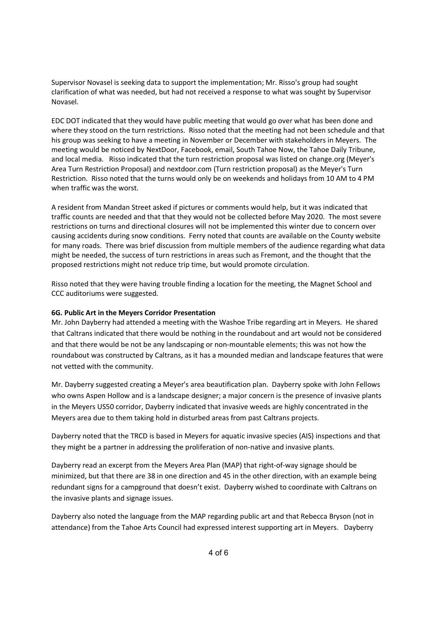Supervisor Novasel is seeking data to support the implementation; Mr. Risso's group had sought clarification of what was needed, but had not received a response to what was sought by Supervisor Novasel.

EDC DOT indicated that they would have public meeting that would go over what has been done and where they stood on the turn restrictions. Risso noted that the meeting had not been schedule and that his group was seeking to have a meeting in November or December with stakeholders in Meyers. The meeting would be noticed by NextDoor, Facebook, email, South Tahoe Now, the Tahoe Daily Tribune, and local media. Risso indicated that the turn restriction proposal was listed on change.org (Meyer's Area Turn Restriction Proposal) and nextdoor.com (Turn restriction proposal) as the Meyer's Turn Restriction. Risso noted that the turns would only be on weekends and holidays from 10 AM to 4 PM when traffic was the worst.

A resident from Mandan Street asked if pictures or comments would help, but it was indicated that traffic counts are needed and that that they would not be collected before May 2020. The most severe restrictions on turns and directional closures will not be implemented this winter due to concern over causing accidents during snow conditions. Ferry noted that counts are available on the County website for many roads. There was brief discussion from multiple members of the audience regarding what data might be needed, the success of turn restrictions in areas such as Fremont, and the thought that the proposed restrictions might not reduce trip time, but would promote circulation.

Risso noted that they were having trouble finding a location for the meeting, the Magnet School and CCC auditoriums were suggested.

#### **6G. Public Art in the Meyers Corridor Presentation**

Mr. John Dayberry had attended a meeting with the Washoe Tribe regarding art in Meyers. He shared that Caltrans indicated that there would be nothing in the roundabout and art would not be considered and that there would be not be any landscaping or non-mountable elements; this was not how the roundabout was constructed by Caltrans, as it has a mounded median and landscape features that were not vetted with the community.

Mr. Dayberry suggested creating a Meyer's area beautification plan. Dayberry spoke with John Fellows who owns Aspen Hollow and is a landscape designer; a major concern is the presence of invasive plants in the Meyers US50 corridor, Dayberry indicated that invasive weeds are highly concentrated in the Meyers area due to them taking hold in disturbed areas from past Caltrans projects.

Dayberry noted that the TRCD is based in Meyers for aquatic invasive species (AIS) inspections and that they might be a partner in addressing the proliferation of non-native and invasive plants.

Dayberry read an excerpt from the Meyers Area Plan (MAP) that right-of-way signage should be minimized, but that there are 38 in one direction and 45 in the other direction, with an example being redundant signs for a campground that doesn't exist. Dayberry wished to coordinate with Caltrans on the invasive plants and signage issues.

Dayberry also noted the language from the MAP regarding public art and that Rebecca Bryson (not in attendance) from the Tahoe Arts Council had expressed interest supporting art in Meyers. Dayberry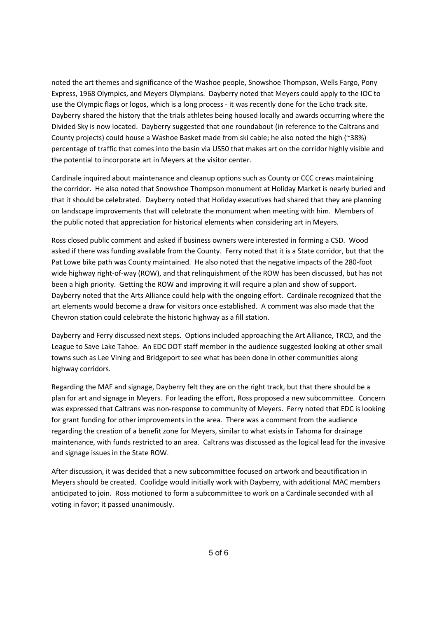noted the art themes and significance of the Washoe people, Snowshoe Thompson, Wells Fargo, Pony Express, 1968 Olympics, and Meyers Olympians. Dayberry noted that Meyers could apply to the IOC to use the Olympic flags or logos, which is a long process - it was recently done for the Echo track site. Dayberry shared the history that the trials athletes being housed locally and awards occurring where the Divided Sky is now located. Dayberry suggested that one roundabout (in reference to the Caltrans and County projects) could house a Washoe Basket made from ski cable; he also noted the high (~38%) percentage of traffic that comes into the basin via US50 that makes art on the corridor highly visible and the potential to incorporate art in Meyers at the visitor center.

Cardinale inquired about maintenance and cleanup options such as County or CCC crews maintaining the corridor. He also noted that Snowshoe Thompson monument at Holiday Market is nearly buried and that it should be celebrated. Dayberry noted that Holiday executives had shared that they are planning on landscape improvements that will celebrate the monument when meeting with him. Members of the public noted that appreciation for historical elements when considering art in Meyers.

Ross closed public comment and asked if business owners were interested in forming a CSD. Wood asked if there was funding available from the County. Ferry noted that it is a State corridor, but that the Pat Lowe bike path was County maintained. He also noted that the negative impacts of the 280-foot wide highway right-of-way (ROW), and that relinquishment of the ROW has been discussed, but has not been a high priority. Getting the ROW and improving it will require a plan and show of support. Dayberry noted that the Arts Alliance could help with the ongoing effort. Cardinale recognized that the art elements would become a draw for visitors once established. A comment was also made that the Chevron station could celebrate the historic highway as a fill station.

Dayberry and Ferry discussed next steps. Options included approaching the Art Alliance, TRCD, and the League to Save Lake Tahoe. An EDC DOT staff member in the audience suggested looking at other small towns such as Lee Vining and Bridgeport to see what has been done in other communities along highway corridors.

Regarding the MAF and signage, Dayberry felt they are on the right track, but that there should be a plan for art and signage in Meyers. For leading the effort, Ross proposed a new subcommittee. Concern was expressed that Caltrans was non-response to community of Meyers. Ferry noted that EDC is looking for grant funding for other improvements in the area. There was a comment from the audience regarding the creation of a benefit zone for Meyers, similar to what exists in Tahoma for drainage maintenance, with funds restricted to an area. Caltrans was discussed as the logical lead for the invasive and signage issues in the State ROW.

After discussion, it was decided that a new subcommittee focused on artwork and beautification in Meyers should be created. Coolidge would initially work with Dayberry, with additional MAC members anticipated to join. Ross motioned to form a subcommittee to work on a Cardinale seconded with all voting in favor; it passed unanimously.